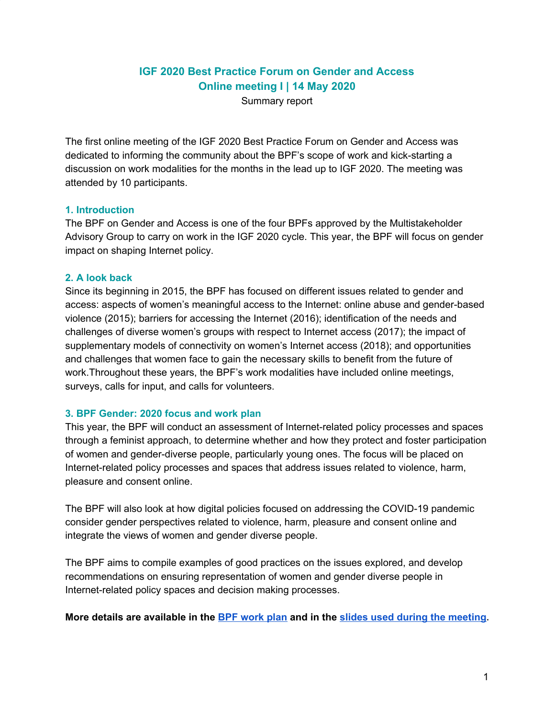# **IGF 2020 Best Practice Forum on Gender and Access Online meeting I | 14 May 2020**

Summary report

The first online meeting of the IGF 2020 Best Practice Forum on Gender and Access was dedicated to informing the community about the BPF's scope of work and kick-starting a discussion on work modalities for the months in the lead up to IGF 2020. The meeting was attended by 10 participants.

## **1. Introduction**

The BPF on Gender and Access is one of the four BPFs approved by the Multistakeholder Advisory Group to carry on work in the IGF 2020 cycle. This year, the BPF will focus on gender impact on shaping Internet policy.

#### **2. A look back**

Since its beginning in 2015, the BPF has focused on different issues related to gender and access: aspects of women's meaningful access to the Internet: online abuse and gender-based violence (2015); barriers for accessing the Internet (2016); identification of the needs and challenges of diverse women's groups with respect to Internet access (2017); the impact of supplementary models of connectivity on women's Internet access (2018); and opportunities and challenges that women face to gain the necessary skills to benefit from the future of work.Throughout these years, the BPF's work modalities have included online meetings, surveys, calls for input, and calls for volunteers.

## **3. BPF Gender: 2020 focus and work plan**

This year, the BPF will conduct an assessment of Internet-related policy processes and spaces through a feminist approach, to determine whether and how they protect and foster participation of women and gender-diverse people, particularly young ones. The focus will be placed on Internet-related policy processes and spaces that address issues related to violence, harm, pleasure and consent online.

The BPF will also look at how digital policies focused on addressing the COVID-19 pandemic consider gender perspectives related to violence, harm, pleasure and consent online and integrate the views of women and gender diverse people.

The BPF aims to compile examples of good practices on the issues explored, and develop recommendations on ensuring representation of women and gender diverse people in Internet-related policy spaces and decision making processes.

**More details are available in the BPF [work](https://www.intgovforum.org/multilingual/filedepot_download/5004/2070) plan and in the slides used during the [meeting.](https://www.intgovforum.org/multilingual/index.php?q=filedepot_download/5004/2088)**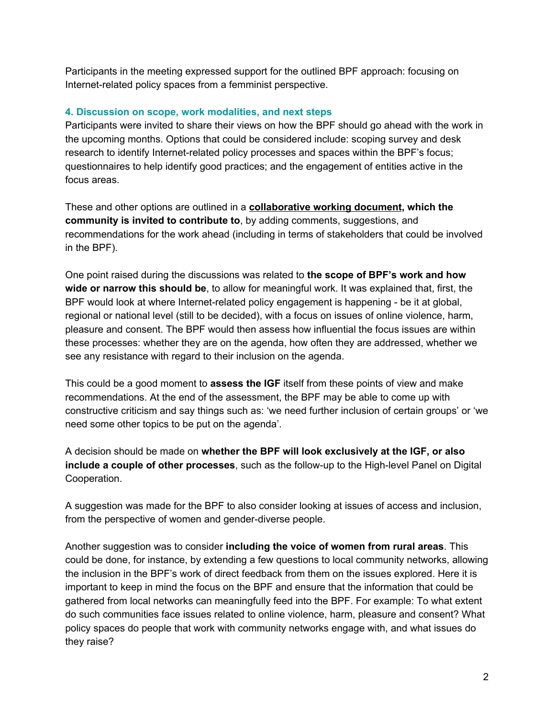Participants in the meeting expressed support for the outlined BPF approach: focusing on Internet-related policy spaces from a femminist perspective.

# **4. Discussion on scope, work modalities, and next steps**

Participants were invited to share their views on how the BPF should go ahead with the work in the upcoming months. Options that could be considered include: scoping survey and desk research to identify Internet-related policy processes and spaces within the BPF's focus; questionnaires to help identify good practices; and the engagement of entities active in the focus areas.

These and other options are outlined in a **[collaborative](https://docs.google.com/document/d/18ZnXuNHJT0cZ2NZzLU6N8gVSbyNJ3ktdJB1aperGYrc/edit) working document, which the community is invited to contribute to**, by adding comments, suggestions, and recommendations for the work ahead (including in terms of stakeholders that could be involved in the BPF).

One point raised during the discussions was related to **the scope of BPF's work and how wide or narrow this should be**, to allow for meaningful work. It was explained that, first, the BPF would look at where Internet-related policy engagement is happening - be it at global, regional or national level (still to be decided), with a focus on issues of online violence, harm, pleasure and consent. The BPF would then assess how influential the focus issues are within these processes: whether they are on the agenda, how often they are addressed, whether we see any resistance with regard to their inclusion on the agenda.

This could be a good moment to **assess the IGF** itself from these points of view and make recommendations. At the end of the assessment, the BPF may be able to come up with constructive criticism and say things such as: 'we need further inclusion of certain groups' or 'we need some other topics to be put on the agenda'.

A decision should be made on **whether the BPF will look exclusively at the IGF, or also include a couple of other processes**, such as the follow-up to the High-level Panel on Digital Cooperation.

A suggestion was made for the BPF to also consider looking at issues of access and inclusion, from the perspective of women and gender-diverse people.

Another suggestion was to consider **including the voice of women from rural areas**. This could be done, for instance, by extending a few questions to local community networks, allowing the inclusion in the BPF's work of direct feedback from them on the issues explored. Here it is important to keep in mind the focus on the BPF and ensure that the information that could be gathered from local networks can meaningfully feed into the BPF. For example: To what extent do such communities face issues related to online violence, harm, pleasure and consent? What policy spaces do people that work with community networks engage with, and what issues do they raise?